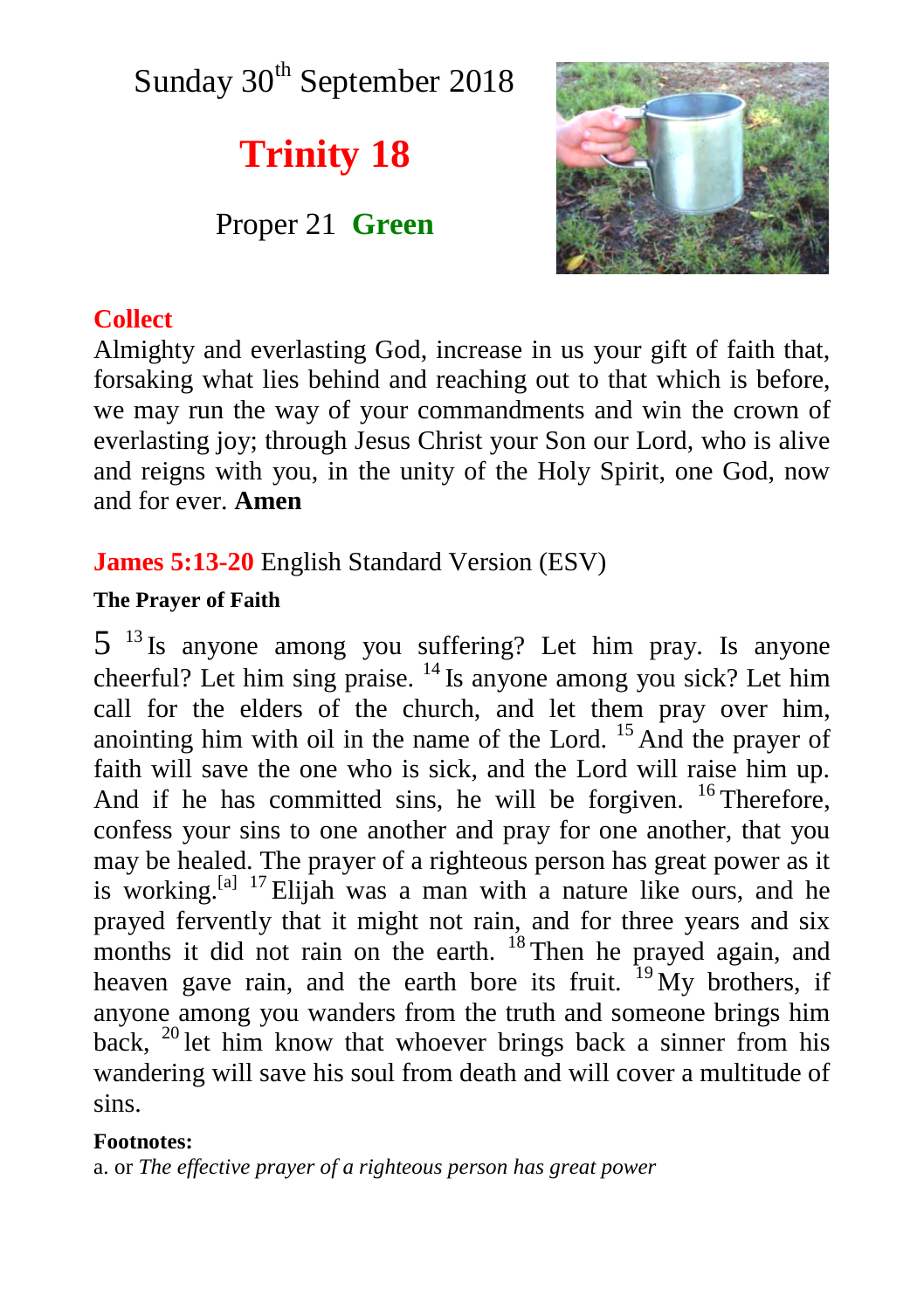Sunday  $30<sup>th</sup>$  September 2018

# **Trinity 18**

Proper 21 **Green**



# **Collect**

Almighty and everlasting God, increase in us your gift of faith that, forsaking what lies behind and reaching out to that which is before, we may run the way of your commandments and win the crown of everlasting joy; through Jesus Christ your Son our Lord, who is alive and reigns with you, in the unity of the Holy Spirit, one God, now and for ever. **Amen**

# **James 5:13-20** English Standard Version (ESV)

### **The Prayer of Faith**

5 <sup>13</sup> Is anyone among you suffering? Let him pray. Is anyone cheerful? Let him sing praise. <sup>14</sup> Is anyone among you sick? Let him call for the elders of the church, and let them pray over him, anointing him with oil in the name of the Lord.  $15$  And the prayer of faith will save the one who is sick, and the Lord will raise him up. And if he has committed sins, he will be forgiven. <sup>16</sup> Therefore, confess your sins to one another and pray for one another, that you may be healed. The prayer of a righteous person has great power as it is working. $[<sup>a</sup>]$  17 Elijah was a man with a nature like ours, and he prayed fervently that it might not rain, and for three years and six months it did not rain on the earth. <sup>18</sup> Then he prayed again, and heaven gave rain, and the earth bore its fruit.  $19\text{ My brothers}$ , if anyone among you wanders from the truth and someone brings him back, <sup>20</sup> let him know that whoever brings back a sinner from his wandering will save his soul from death and will cover a multitude of sins.

#### **Footnotes:**

a. or *The effective prayer of a righteous person has great power*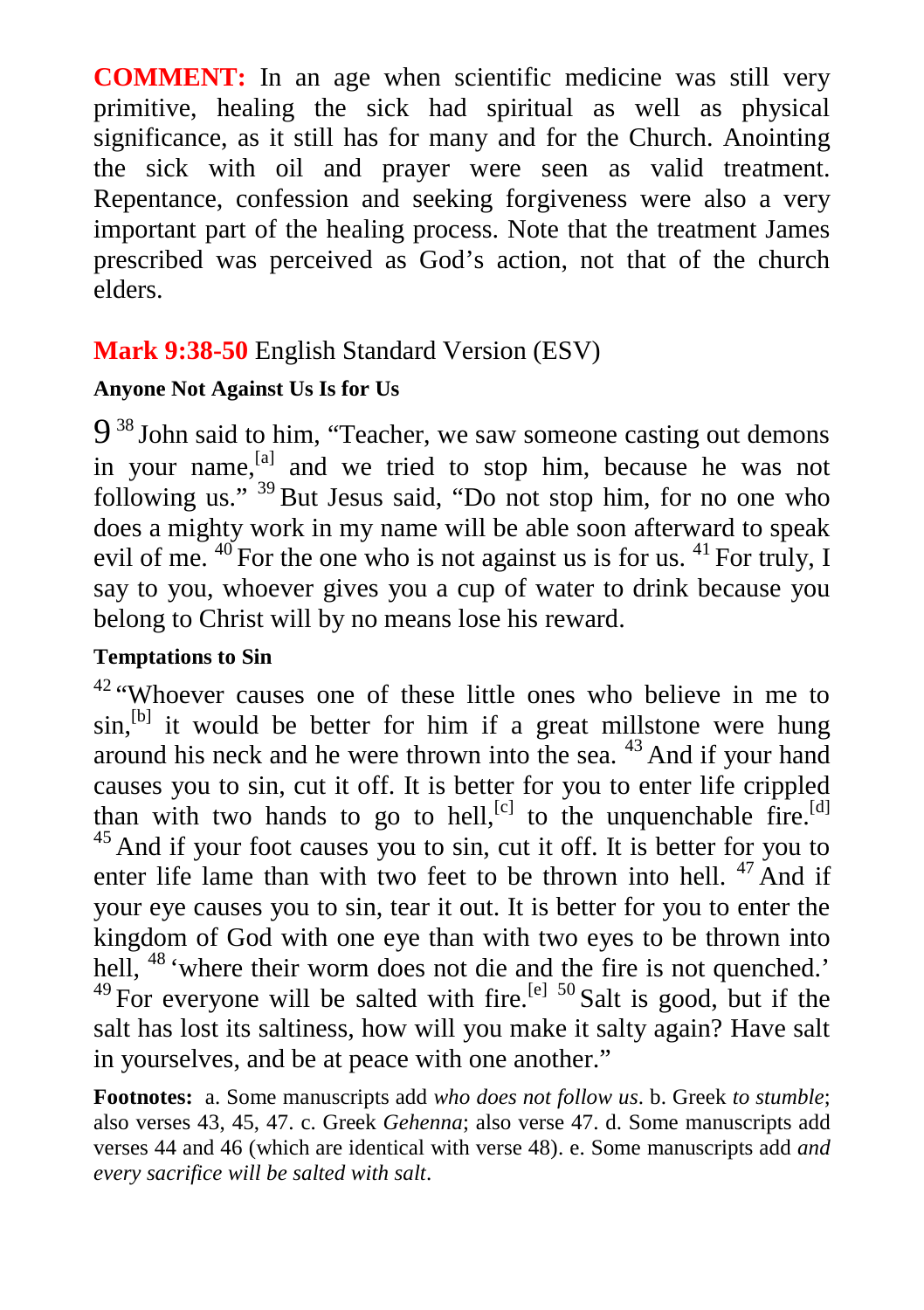**COMMENT:** In an age when scientific medicine was still very primitive, healing the sick had spiritual as well as physical significance, as it still has for many and for the Church. Anointing the sick with oil and prayer were seen as valid treatment. Repentance, confession and seeking forgiveness were also a very important part of the healing process. Note that the treatment James prescribed was perceived as God's action, not that of the church elders.

## **Mark 9:38-50** English Standard Version (ESV)

#### **Anyone Not Against Us Is for Us**

9<sup>38</sup> John said to him, "Teacher, we saw someone casting out demons in your name, <sup>[a]</sup> and we tried to stop him, because he was not following us." <sup>39</sup> But Jesus said, "Do not stop him, for no one who does a mighty work in my name will be able soon afterward to speak evil of me.  $^{40}$  For the one who is not against us is for us.  $^{41}$  For truly, I say to you, whoever gives you a cup of water to drink because you belong to Christ will by no means lose his reward.

#### **Temptations to Sin**

<sup>42</sup> "Whoever causes one of these little ones who believe in me to  $sin<sub>1</sub>$ <sup>[b]</sup> it would be better for him if a great millstone were hung around his neck and he were thrown into the sea. <sup>43</sup> And if your hand causes you to sin, cut it off. It is better for you to enter life crippled than with two hands to go to hell,<sup>[c]</sup> to the unquenchable fire.<sup>[d]</sup> <sup>45</sup> And if your foot causes you to sin, cut it off. It is better for you to enter life lame than with two feet to be thrown into hell.  $47$  And if your eye causes you to sin, tear it out. It is better for you to enter the kingdom of God with one eye than with two eyes to be thrown into hell, <sup>48</sup> 'where their worm does not die and the fire is not quenched.'  $^{49}$  For everyone will be salted with fire.<sup>[e] 50</sup> Salt is good, but if the

salt has lost its saltiness, how will you make it salty again? Have salt in yourselves, and be at peace with one another."

**Footnotes:** a. Some manuscripts add *who does not follow us*. b. Greek *to stumble*; also verses 43, 45, 47. c. Greek *Gehenna*; also verse 47. d. Some manuscripts add verses 44 and 46 (which are identical with verse 48). e. Some manuscripts add *and every sacrifice will be salted with salt*.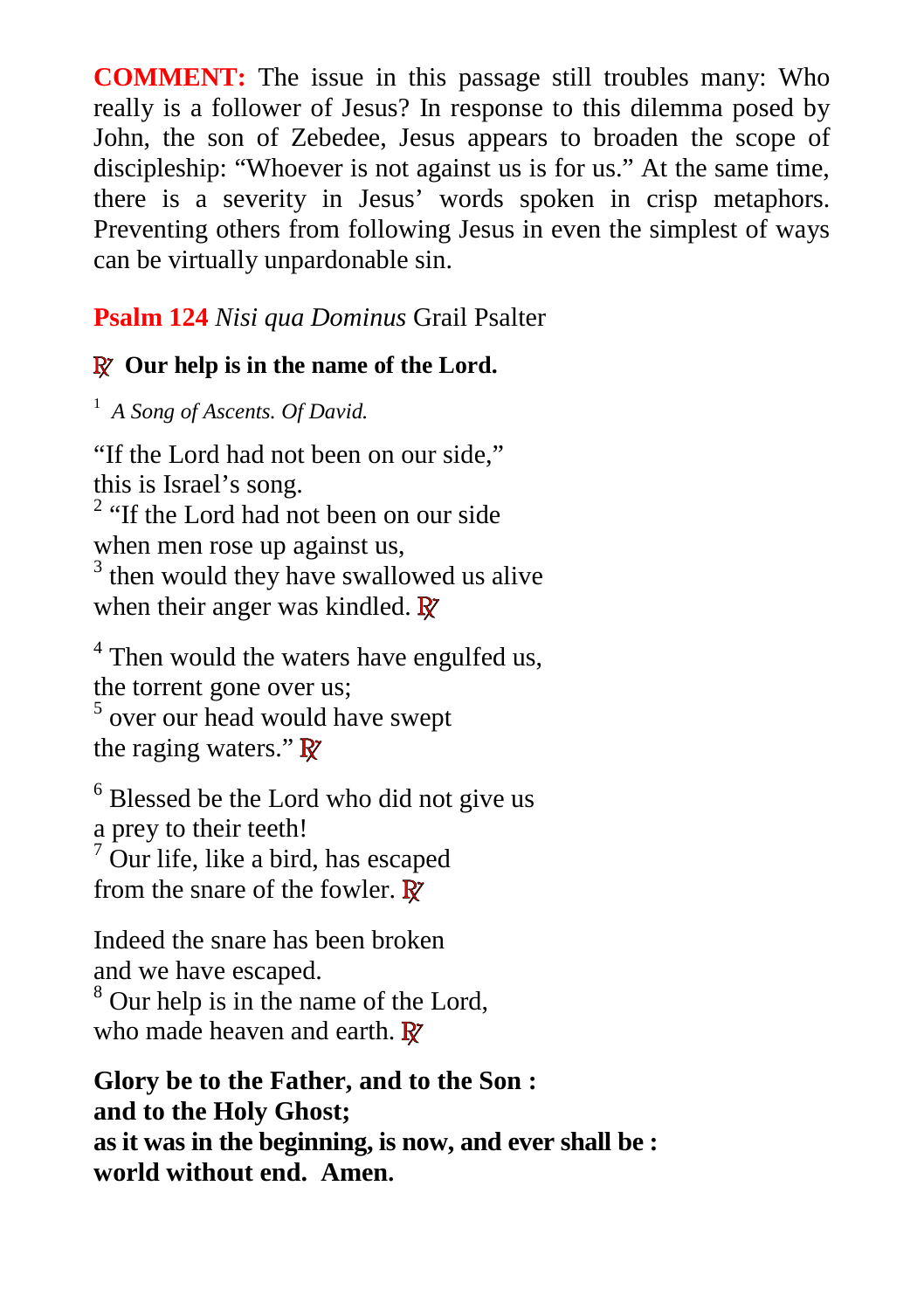**COMMENT:** The issue in this passage still troubles many: Who really is a follower of Jesus? In response to this dilemma posed by John, the son of Zebedee, Jesus appears to broaden the scope of discipleship: "Whoever is not against us is for us." At the same time, there is a severity in Jesus' words spoken in crisp metaphors. Preventing others from following Jesus in even the simplest of ways can be virtually unpardonable sin.

### **Psalm 124** *Nisi qua Dominus* Grail Psalter

# **R Our help is in the name of the Lord.**

<sup>1</sup> *A Song of Ascents. Of David.*

"If the Lord had not been on our side," this is Israel's song. <sup>2</sup> "If the Lord had not been on our side when men rose up against us, <sup>3</sup> then would they have swallowed us alive when their anger was kindled. **R**

<sup>4</sup> Then would the waters have engulfed us, the torrent gone over us; 5 over our head would have swept the raging waters." **R**

<sup>6</sup> Blessed be the Lord who did not give us a prey to their teeth!  $7$  Our life, like a bird, has escaped from the snare of the fowler. **R**

Indeed the snare has been broken and we have escaped. <sup>8</sup> Our help is in the name of the Lord, who made heaven and earth. **R**

**Glory be to the Father, and to the Son : and to the Holy Ghost; as it was in the beginning, is now, and ever shall be : world without end. Amen.**